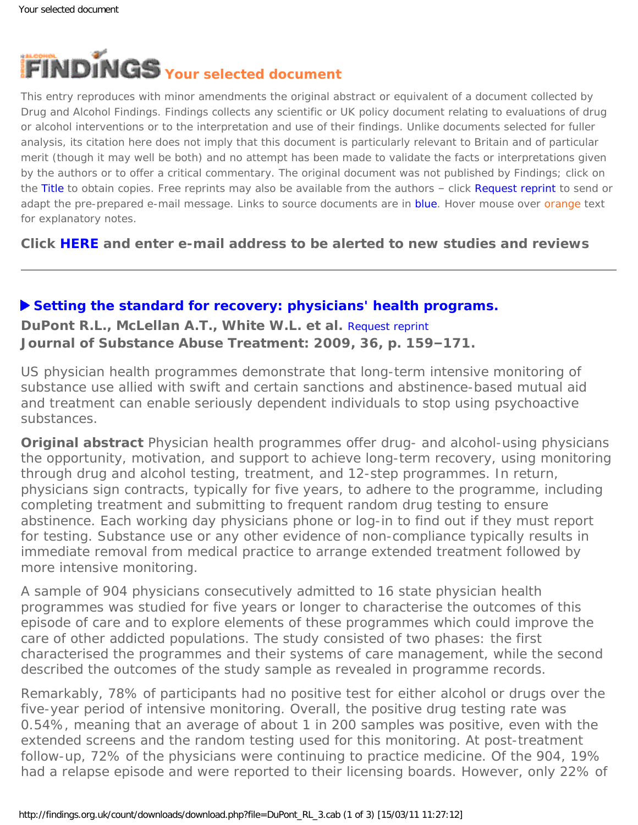

This entry reproduces with minor amendments the original abstract or equivalent of a document collected by Drug and Alcohol Findings. Findings collects any scientific or UK policy document relating to evaluations of drug or alcohol interventions or to the interpretation and use of their findings. Unlike documents selected for fuller analysis, its citation here does not imply that this document is particularly relevant to Britain and of particular merit (though it may well be both) and no attempt has been made to validate the facts or interpretations given by the authors or to offer a critical commentary. The original document was not published by Findings; click on the Title to obtain copies. Free reprints may also be available from the authors - click Request reprint to send or adapt the pre-prepared e-mail message. Links to source documents are in blue. Hover mouse over orange text for explanatory notes.

**Click [HERE](https://findings.org.uk/index.php#signUp) and enter e-mail address to be alerted to new studies and reviews**

## **[Setting the standard for recovery: physicians' health programs.](http://dx.doi.org/10.1016/j.jsat.2008.01.004)**

**DuPont R.L., McLellan A.T., White W.L. et al.** [Request reprint](mailto:TMcLellan@tresearch.org?Subject=Reprint%20request&body=Dear Dr McLellan%0A%0AOn the Drug and Alcohol Findings web site (https://findings.org.uk) I read about your article:%0ADuPont R.L., McLellan A.T., White W.L. et al. Setting the standard for recovery: physicians) **Journal of Substance Abuse Treatment: 2009, 36, p. 159–171.**

US physician health programmes demonstrate that long-term intensive monitoring of substance use allied with swift and certain sanctions and abstinence-based mutual aid and treatment can enable seriously dependent individuals to stop using psychoactive substances.

**Original abstract** Physician health programmes offer drug- and alcohol-using physicians the opportunity, motivation, and support to achieve long-term recovery, using monitoring through drug and alcohol testing, treatment, and 12-step programmes. In return, physicians sign contracts, typically for five years, to adhere to the programme, including completing treatment and submitting to frequent random drug testing to ensure abstinence. Each working day physicians phone or log-in to find out if they must report for testing. Substance use or any other evidence of non-compliance typically results in immediate removal from medical practice to arrange extended treatment followed by more intensive monitoring.

A sample of 904 physicians consecutively admitted to 16 state physician health programmes was studied for five years or longer to characterise the outcomes of this episode of care and to explore elements of these programmes which could improve the care of other addicted populations. The study consisted of two phases: the first characterised the programmes and their systems of care management, while the second described the outcomes of the study sample as revealed in programme records.

Remarkably, 78% of participants had no positive test for either alcohol or drugs over the five-year period of intensive monitoring. Overall, the positive drug testing rate was 0.54%, meaning that an average of about 1 in 200 samples was positive, even with the extended screens and the random testing used for this monitoring. At post-treatment follow-up, 72% of the physicians were continuing to practice medicine. Of the 904, 19% had a relapse episode and were reported to their licensing boards. However, only 22% of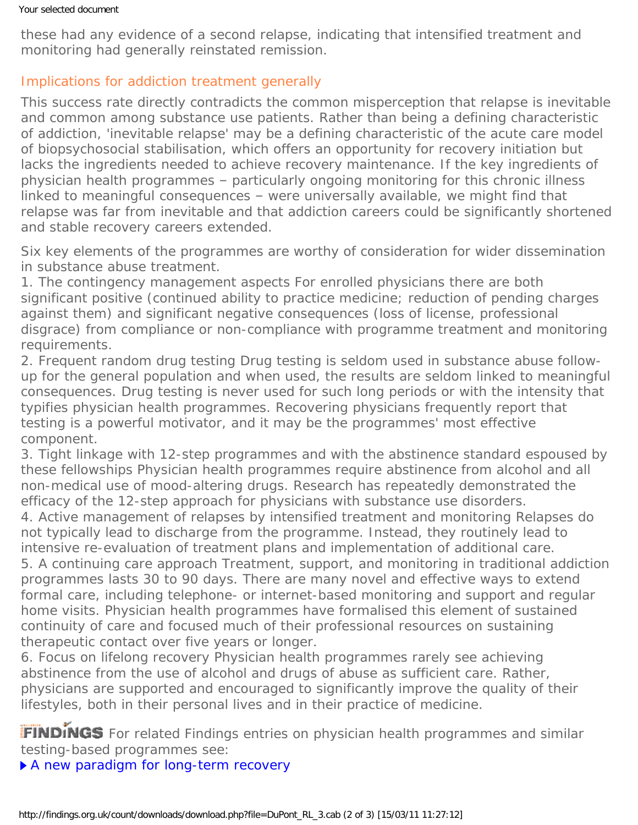these had any evidence of a second relapse, indicating that intensified treatment and monitoring had generally reinstated remission.

## Implications for addiction treatment generally

This success rate directly contradicts the common misperception that relapse is inevitable and common among substance use patients. Rather than being a defining characteristic of addiction, 'inevitable relapse' may be a defining characteristic of the acute care model of biopsychosocial stabilisation, which offers an opportunity for recovery initiation but lacks the ingredients needed to achieve recovery maintenance. If the key ingredients of physician health programmes – particularly ongoing monitoring for this chronic illness linked to meaningful consequences – were universally available, we might find that relapse was far from inevitable and that addiction careers could be significantly shortened and stable recovery careers extended.

Six key elements of the programmes are worthy of consideration for wider dissemination in substance abuse treatment.

1. *The contingency management aspects* For enrolled physicians there are both significant positive (continued ability to practice medicine; reduction of pending charges against them) and significant negative consequences (loss of license, professional disgrace) from compliance or non-compliance with programme treatment and monitoring requirements.

2. *Frequent random drug testing* Drug testing is seldom used in substance abuse followup for the general population and when used, the results are seldom linked to meaningful consequences. Drug testing is never used for such long periods or with the intensity that typifies physician health programmes. Recovering physicians frequently report that testing is a powerful motivator, and it may be the programmes' most effective component.

3. *Tight linkage with 12-step programmes and with the abstinence standard espoused by these fellowships* Physician health programmes require abstinence from alcohol and all non-medical use of mood-altering drugs. Research has repeatedly demonstrated the efficacy of the 12-step approach for physicians with substance use disorders.

4. *Active management of relapses by intensified treatment and monitoring* Relapses do not typically lead to discharge from the programme. Instead, they routinely lead to intensive re-evaluation of treatment plans and implementation of additional care. 5. *A continuing care approach* Treatment, support, and monitoring in traditional addiction programmes lasts 30 to 90 days. There are many novel and effective ways to extend formal care, including telephone- or internet-based monitoring and support and regular home visits. Physician health programmes have formalised this element of sustained continuity of care and focused much of their professional resources on sustaining therapeutic contact over five years or longer.

6. *Focus on lifelong recovery* Physician health programmes rarely see achieving abstinence from the use of alcohol and drugs of abuse as sufficient care. Rather, physicians are supported and encouraged to significantly improve the quality of their lifestyles, both in their personal lives and in their practice of medicine.

FINDINGS For related Findings entries on physician health programmes and similar testing-based programmes see:

[A new paradigm for long-term recovery](https://findings.org.uk/count/downloads/download.php?file=DuPont_RL_2.cab)